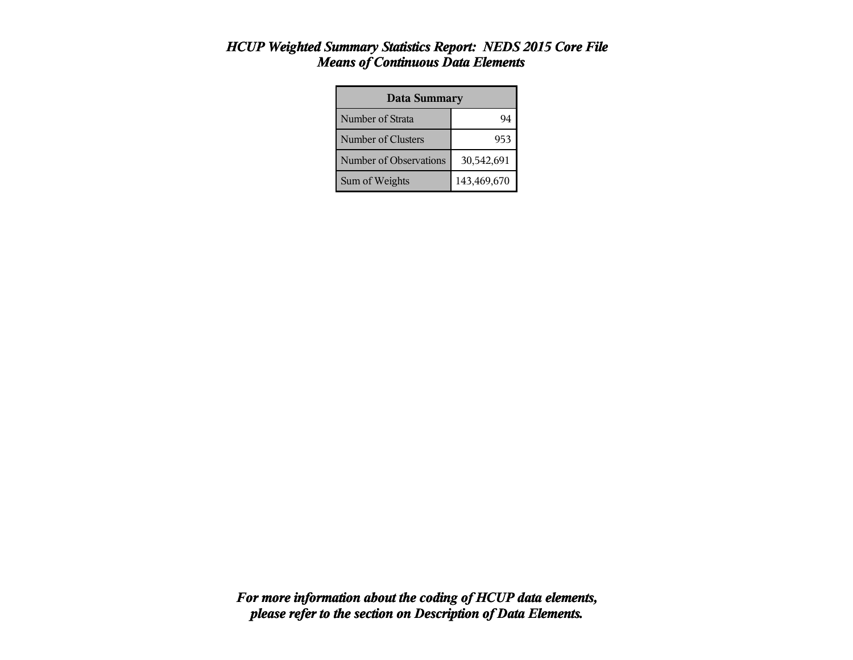#### *HCUP Weighted Summary Statistics Report: NEDS 2015 Core File Means of Continuous Data Elements*

| <b>Data Summary</b>    |             |  |  |
|------------------------|-------------|--|--|
| Number of Strata       | Q4          |  |  |
| Number of Clusters     | 953         |  |  |
| Number of Observations | 30,542,691  |  |  |
| Sum of Weights         | 143,469,670 |  |  |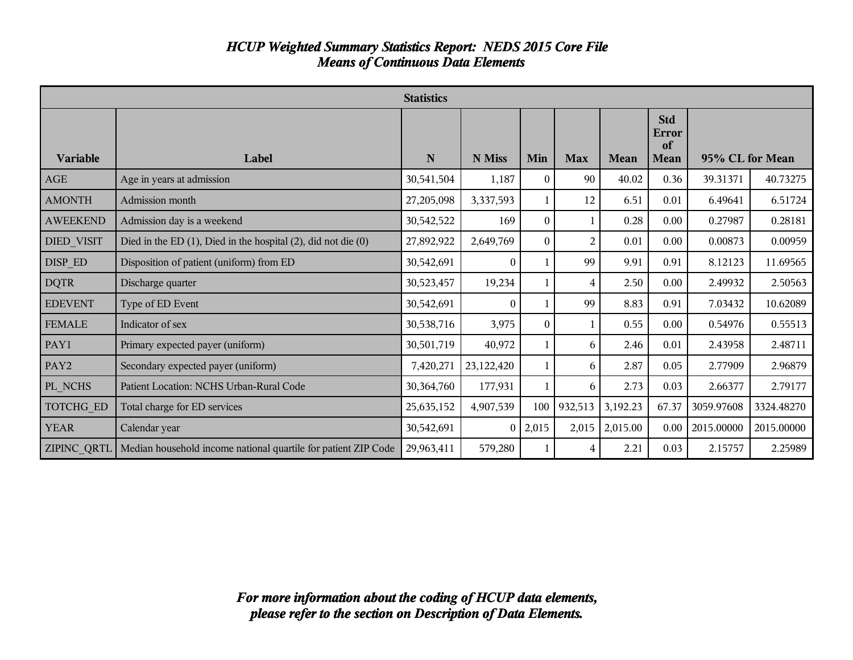#### *HCUP Weighted Summary Statistics Report: NEDS 2015 Core File Means of Continuous Data Elements*

|                   | <b>Statistics</b>                                                            |             |                |          |                |             |                                   |                 |            |
|-------------------|------------------------------------------------------------------------------|-------------|----------------|----------|----------------|-------------|-----------------------------------|-----------------|------------|
| <b>Variable</b>   | Label                                                                        | $\mathbf N$ | N Miss         | Min      | <b>Max</b>     | <b>Mean</b> | <b>Std</b><br>Error<br>of<br>Mean | 95% CL for Mean |            |
| <b>AGE</b>        | Age in years at admission                                                    | 30,541,504  | 1,187          | $\Omega$ | 90             | 40.02       | 0.36                              | 39.31371        | 40.73275   |
| <b>AMONTH</b>     | Admission month                                                              | 27,205,098  | 3,337,593      |          | 12             | 6.51        | 0.01                              | 6.49641         | 6.51724    |
| <b>AWEEKEND</b>   | Admission day is a weekend                                                   | 30,542,522  | 169            | $\Omega$ |                | 0.28        | 0.00                              | 0.27987         | 0.28181    |
| <b>DIED VISIT</b> | Died in the ED $(1)$ , Died in the hospital $(2)$ , did not die $(0)$        | 27,892,922  | 2,649,769      | $\Omega$ | $\overline{2}$ | 0.01        | 0.00                              | 0.00873         | 0.00959    |
| DISP ED           | Disposition of patient (uniform) from ED                                     | 30,542,691  | $\Omega$       |          | 99             | 9.91        | 0.91                              | 8.12123         | 11.69565   |
| <b>DQTR</b>       | Discharge quarter                                                            | 30,523,457  | 19,234         | 1        | 4              | 2.50        | 0.00                              | 2.49932         | 2.50563    |
| <b>EDEVENT</b>    | Type of ED Event                                                             | 30,542,691  | $\overline{0}$ |          | 99             | 8.83        | 0.91                              | 7.03432         | 10.62089   |
| <b>FEMALE</b>     | Indicator of sex                                                             | 30,538,716  | 3,975          | $\Omega$ | 1              | 0.55        | 0.00                              | 0.54976         | 0.55513    |
| PAY1              | Primary expected payer (uniform)                                             | 30,501,719  | 40,972         |          | 6              | 2.46        | 0.01                              | 2.43958         | 2.48711    |
| PAY <sub>2</sub>  | Secondary expected payer (uniform)                                           | 7,420,271   | 23,122,420     |          | 6              | 2.87        | 0.05                              | 2.77909         | 2.96879    |
| PL_NCHS           | Patient Location: NCHS Urban-Rural Code                                      | 30,364,760  | 177,931        |          | 6              | 2.73        | 0.03                              | 2.66377         | 2.79177    |
| TOTCHG ED         | Total charge for ED services                                                 | 25,635,152  | 4,907,539      | 100      | 932,513        | 3,192.23    | 67.37                             | 3059.97608      | 3324.48270 |
| <b>YEAR</b>       | Calendar year                                                                | 30,542,691  | $\theta$       | 2,015    | 2,015          | 2,015.00    | 0.00                              | 2015.00000      | 2015.00000 |
|                   | ZIPINC QRTL   Median household income national quartile for patient ZIP Code | 29,963,411  | 579,280        |          | 4              | 2.21        | 0.03                              | 2.15757         | 2.25989    |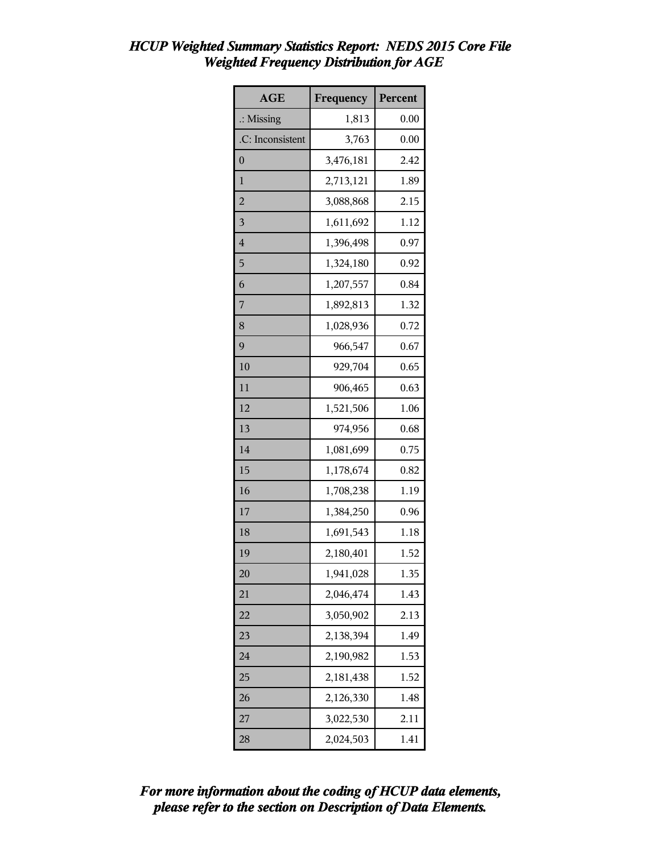| <b>AGE</b>           | Frequency | Percent |
|----------------------|-----------|---------|
| $\therefore$ Missing | 1,813     | 0.00    |
| .C: Inconsistent     | 3,763     | 0.00    |
| $\overline{0}$       | 3,476,181 | 2.42    |
| $\mathbf{1}$         | 2,713,121 | 1.89    |
| $\overline{2}$       | 3,088,868 | 2.15    |
| $\overline{3}$       | 1,611,692 | 1.12    |
| $\overline{4}$       | 1,396,498 | 0.97    |
| 5                    | 1,324,180 | 0.92    |
| 6                    | 1,207,557 | 0.84    |
| 7                    | 1,892,813 | 1.32    |
| 8                    | 1,028,936 | 0.72    |
| 9                    | 966,547   | 0.67    |
| 10                   | 929,704   | 0.65    |
| 11                   | 906,465   | 0.63    |
| 12                   | 1,521,506 | 1.06    |
| 13                   | 974,956   | 0.68    |
| 14                   | 1,081,699 | 0.75    |
| 15                   | 1,178,674 | 0.82    |
| 16                   | 1,708,238 | 1.19    |
| 17                   | 1,384,250 | 0.96    |
| 18                   | 1,691,543 | 1.18    |
| 19                   | 2,180,401 | 1.52    |
| 20                   | 1,941,028 | 1.35    |
| 21                   | 2,046,474 | 1.43    |
| 22                   | 3,050,902 | 2.13    |
| 23                   | 2,138,394 | 1.49    |
| 24                   | 2,190,982 | 1.53    |
| 25                   | 2,181,438 | 1.52    |
| 26                   | 2,126,330 | 1.48    |
| 27                   | 3,022,530 | 2.11    |
| 28                   | 2,024,503 | 1.41    |

# *HCUP Weighted Summary Statistics Report: NEDS 2015 Core File Weighted Frequency Distribution for AGE*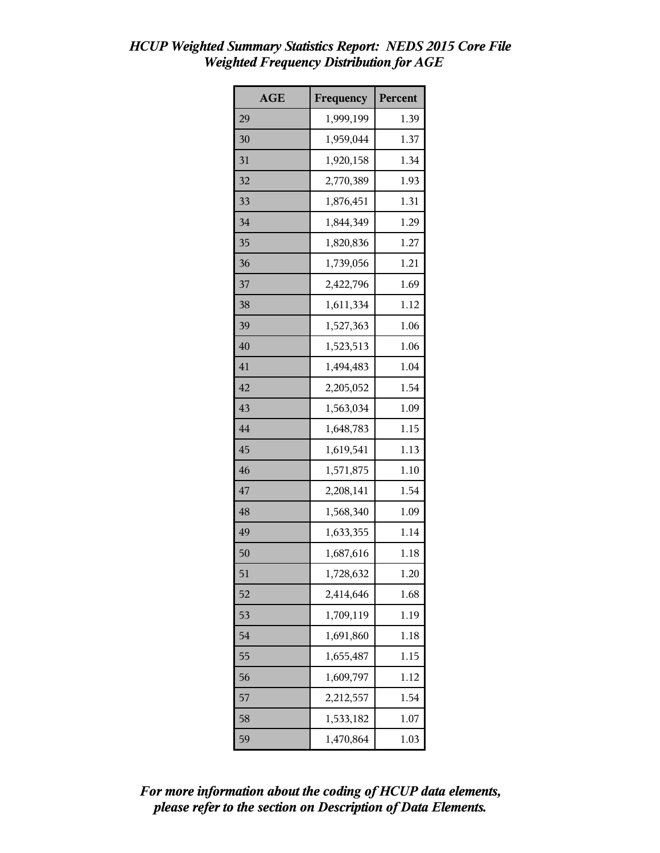| <b>AGE</b> | Frequency | Percent |
|------------|-----------|---------|
| 29         | 1,999,199 | 1.39    |
| 30         | 1,959,044 | 1.37    |
| 31         | 1,920,158 | 1.34    |
| 32         | 2,770,389 | 1.93    |
| 33         | 1,876,451 | 1.31    |
| 34         | 1,844,349 | 1.29    |
| 35         | 1,820,836 | 1.27    |
| 36         | 1,739,056 | 1.21    |
| 37         | 2,422,796 | 1.69    |
| 38         | 1,611,334 | 1.12    |
| 39         | 1,527,363 | 1.06    |
| 40         | 1,523,513 | 1.06    |
| 41         | 1,494,483 | 1.04    |
| 42         | 2,205,052 | 1.54    |
| 43         | 1,563,034 | 1.09    |
| 44         | 1,648,783 | 1.15    |
| 45         | 1,619,541 | 1.13    |
| 46         | 1,571,875 | 1.10    |
| 47         | 2,208,141 | 1.54    |
| 48         | 1,568,340 | 1.09    |
| 49         | 1,633,355 | 1.14    |
| 50         | 1,687,616 | 1.18    |
| 51         | 1,728,632 | 1.20    |
| 52         | 2,414,646 | 1.68    |
| 53         | 1,709,119 | 1.19    |
| 54         | 1,691,860 | 1.18    |
| 55         | 1,655,487 | 1.15    |
| 56         | 1,609,797 | 1.12    |
| 57         | 2,212,557 | 1.54    |
| 58         | 1,533,182 | 1.07    |
| 59         | 1,470,864 | 1.03    |

# *HCUP Weighted Summary Statistics Report: NEDS 2015 Core File Weighted Frequency Distribution for AGE*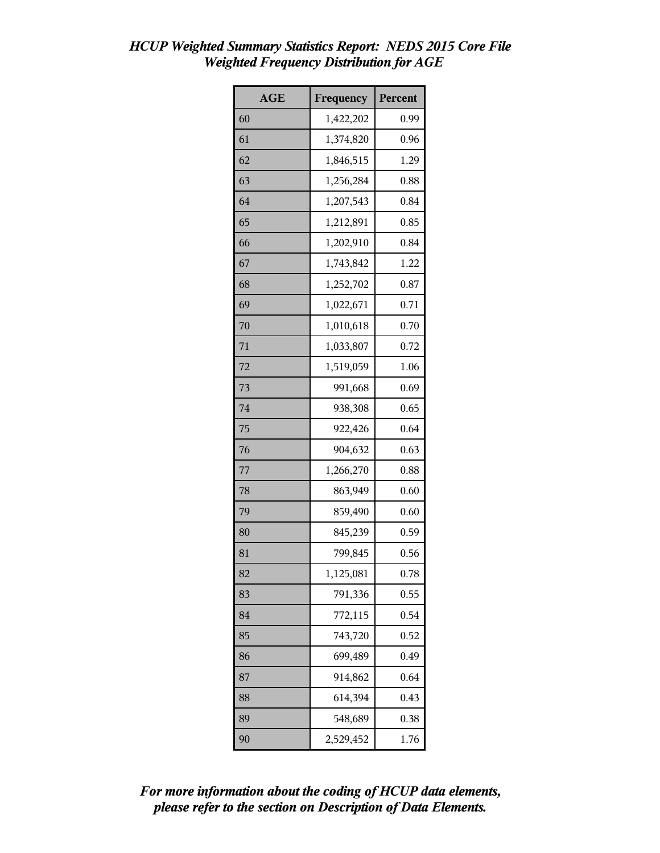| <b>AGE</b> | Frequency | Percent |
|------------|-----------|---------|
| 60         | 1,422,202 | 0.99    |
| 61         | 1,374,820 | 0.96    |
| 62         | 1,846,515 | 1.29    |
| 63         | 1,256,284 | 0.88    |
| 64         | 1,207,543 | 0.84    |
| 65         | 1,212,891 | 0.85    |
| 66         | 1,202,910 | 0.84    |
| 67         | 1,743,842 | 1.22    |
| 68         | 1,252,702 | 0.87    |
| 69         | 1,022,671 | 0.71    |
| 70         | 1,010,618 | 0.70    |
| 71         | 1,033,807 | 0.72    |
| 72         | 1,519,059 | 1.06    |
| 73         | 991,668   | 0.69    |
| 74         | 938,308   | 0.65    |
| 75         | 922,426   | 0.64    |
| 76         | 904,632   | 0.63    |
| 77         | 1,266,270 | 0.88    |
| 78         | 863,949   | 0.60    |
| 79         | 859,490   | 0.60    |
| 80         | 845,239   | 0.59    |
| 81         | 799,845   | 0.56    |
| 82         | 1,125,081 | 0.78    |
| 83         | 791,336   | 0.55    |
| 84         | 772,115   | 0.54    |
| 85         | 743,720   | 0.52    |
| 86         | 699,489   | 0.49    |
| 87         | 914,862   | 0.64    |
| 88         | 614,394   | 0.43    |
| 89         | 548,689   | 0.38    |
| 90         | 2,529,452 | 1.76    |

# *HCUP Weighted Summary Statistics Report: NEDS 2015 Core File Weighted Frequency Distribution for AGE*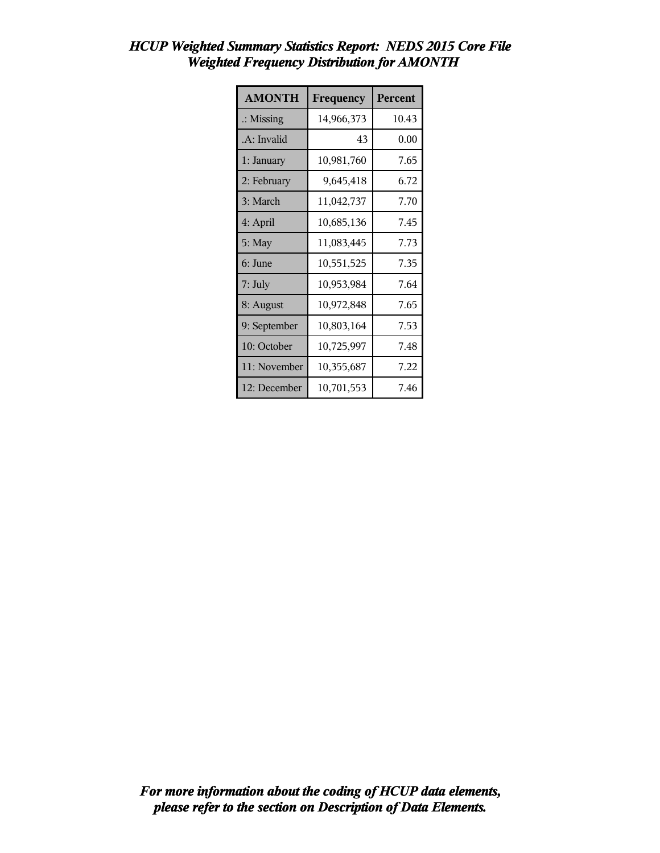| <b>AMONTH</b>        | Frequency  | Percent |
|----------------------|------------|---------|
| $\therefore$ Missing | 14,966,373 | 10.43   |
| .A: Invalid          | 43         | 0.00    |
| 1: January           | 10,981,760 | 7.65    |
| 2: February          | 9,645,418  | 6.72    |
| 3: March             | 11,042,737 | 7.70    |
| 4: April             | 10,685,136 | 7.45    |
| $5:$ May             | 11,083,445 | 7.73    |
| 6: June              | 10,551,525 | 7.35    |
| 7: July              | 10,953,984 | 7.64    |
| 8: August            | 10,972,848 | 7.65    |
| 9: September         | 10,803,164 | 7.53    |
| 10: October          | 10,725,997 | 7.48    |
| 11: November         | 10,355,687 | 7.22    |
| 12: December         | 10,701,553 | 7.46    |

# *HCUP Weighted Summary Statistics Report: NEDS 2015 Core File Weighted Frequency Distribution for AMONTH*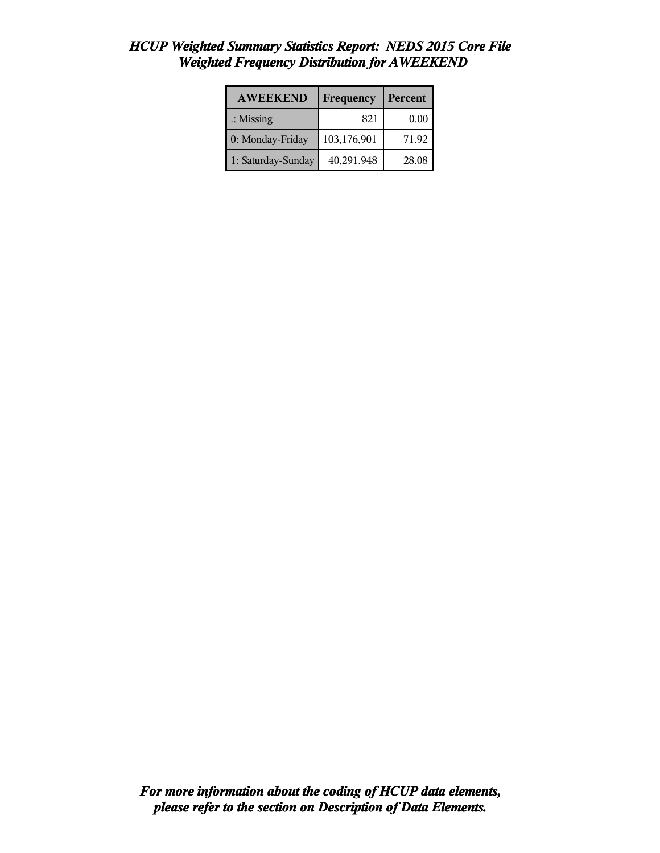| <b>AWEEKEND</b>      | Frequency   | Percent |
|----------------------|-------------|---------|
| $\therefore$ Missing | 821         | 0.00    |
| 0: Monday-Friday     | 103,176,901 | 71.92   |
| 1: Saturday-Sunday   | 40,291,948  | 28.08   |

# *HCUP Weighted Summary Statistics Report: NEDS 2015 Core File Weighted Frequency Distribution for AWEEKEND*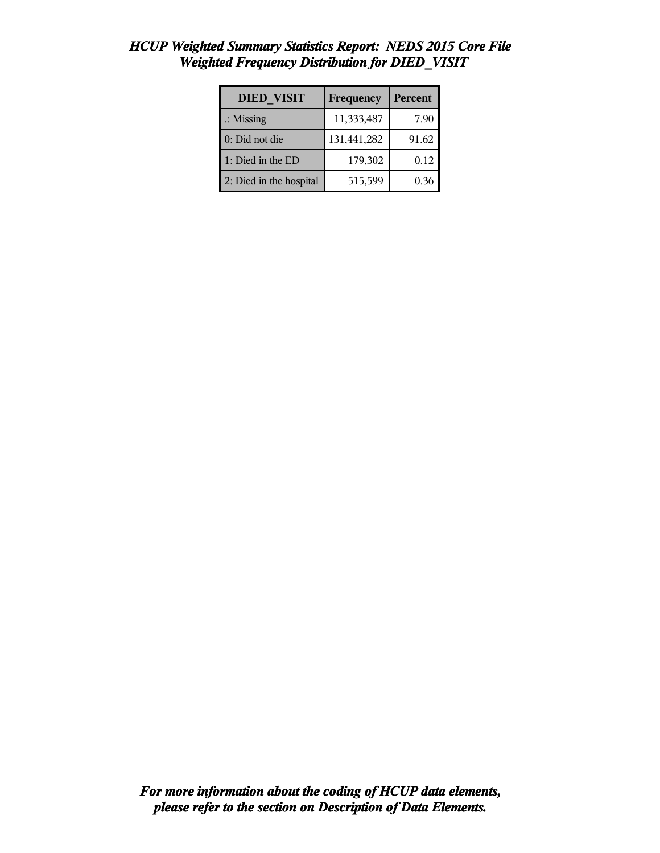| <b>DIED VISIT</b>       | Frequency   | Percent |
|-------------------------|-------------|---------|
| $\therefore$ Missing    | 11,333,487  | 7.90    |
| 0: Did not die          | 131,441,282 | 91.62   |
| 1: Died in the ED       | 179,302     | 0.12    |
| 2: Died in the hospital | 515,599     | 0.36    |

## *HCUP Weighted Summary Statistics Report: NEDS 2015 Core File Weighted Frequency Distribution for DIED\_VISIT*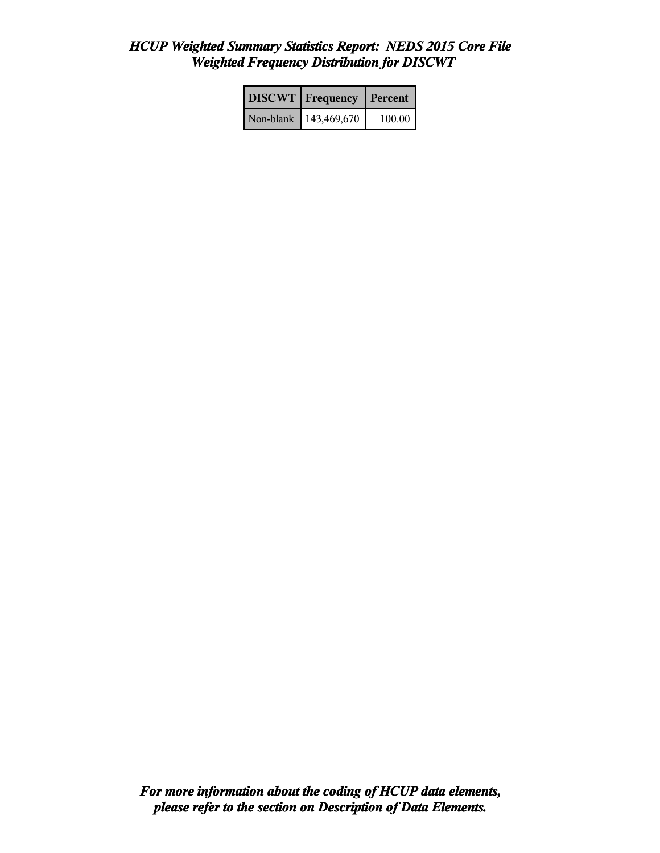# *HCUP Weighted Summary Statistics Report: NEDS 2015 Core File Weighted Frequency Distribution for DISCWT*

| <b>DISCWT</b>   Frequency | Percent |
|---------------------------|---------|
| Non-blank   143,469,670   | 100.00  |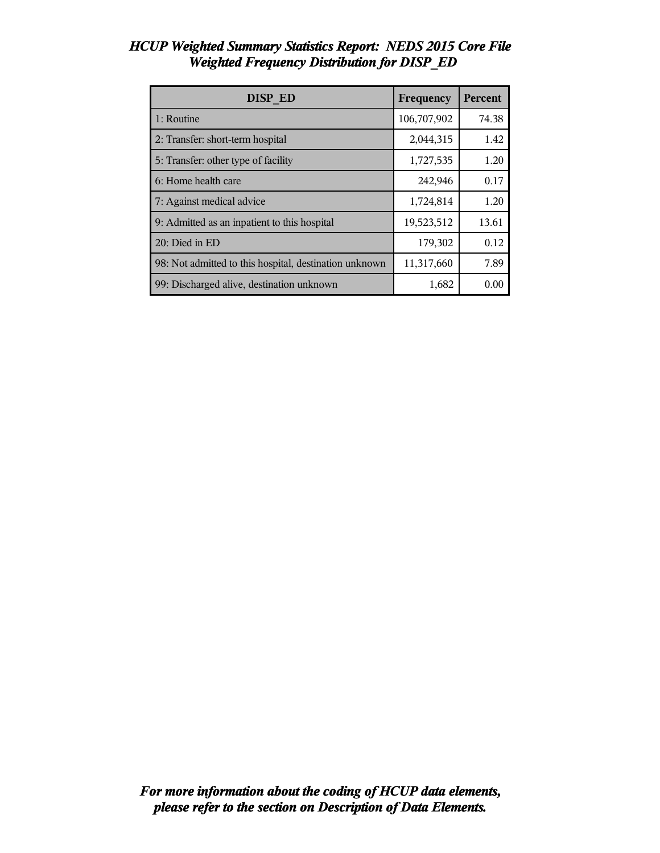| <b>DISP ED</b>                                         | Frequency   | <b>Percent</b> |
|--------------------------------------------------------|-------------|----------------|
| 1: Routine                                             | 106,707,902 | 74.38          |
| 2: Transfer: short-term hospital                       | 2,044,315   | 1.42           |
| 5: Transfer: other type of facility                    | 1,727,535   | 1.20           |
| 6: Home health care                                    | 242,946     | 0.17           |
| 7: Against medical advice                              | 1,724,814   | 1.20           |
| 9: Admitted as an inpatient to this hospital           | 19,523,512  | 13.61          |
| 20: Died in ED                                         | 179,302     | 0.12           |
| 98: Not admitted to this hospital, destination unknown | 11,317,660  | 7.89           |
| 99: Discharged alive, destination unknown              | 1,682       | 0.00           |

#### *HCUP Weighted Summary Statistics Report: NEDS 2015 Core File Weighted Frequency Distribution for DISP\_ED*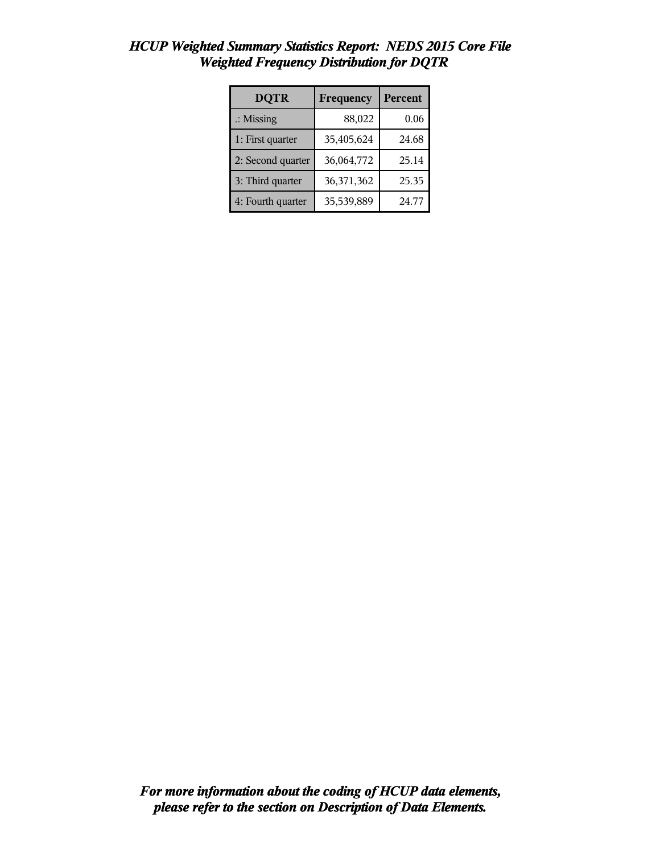| <b>DQTR</b>          | Frequency  | <b>Percent</b> |
|----------------------|------------|----------------|
| $\therefore$ Missing | 88,022     | 0.06           |
| 1: First quarter     | 35,405,624 | 24.68          |
| 2: Second quarter    | 36,064,772 | 25.14          |
| 3: Third quarter     | 36,371,362 | 25.35          |
| 4: Fourth quarter    | 35,539,889 | 24.77          |

### *HCUP Weighted Summary Statistics Report: NEDS 2015 Core File Weighted Frequency Distribution for DQTR*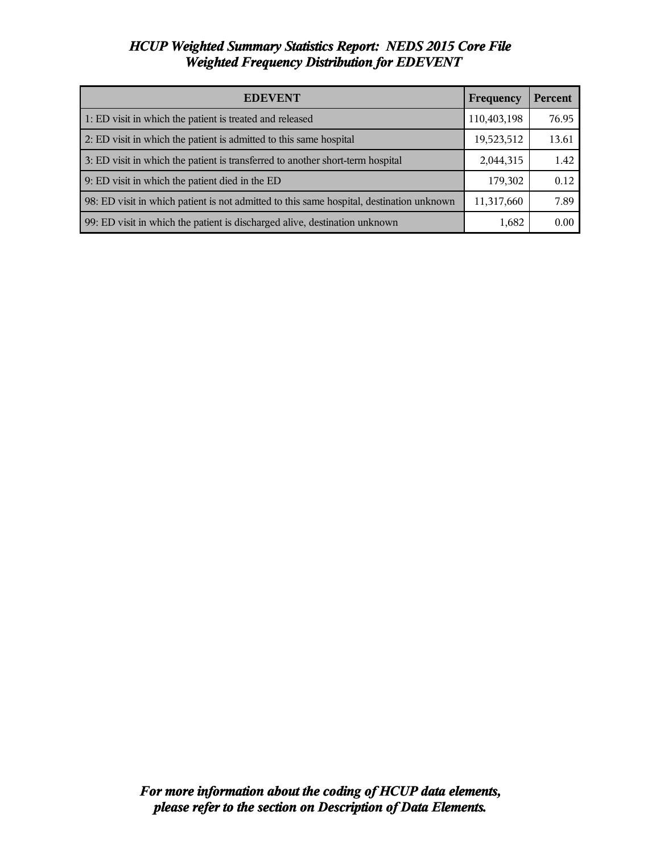# *HCUP Weighted Summary Statistics Report: NEDS 2015 Core File Weighted Frequency Distribution for EDEVENT*

| <b>EDEVENT</b>                                                                           | Frequency   | <b>Percent</b> |
|------------------------------------------------------------------------------------------|-------------|----------------|
| 1: ED visit in which the patient is treated and released                                 | 110,403,198 | 76.95          |
| 2: ED visit in which the patient is admitted to this same hospital                       | 19,523,512  | 13.61          |
| 3: ED visit in which the patient is transferred to another short-term hospital           | 2,044,315   | 1.42           |
| 9: ED visit in which the patient died in the ED                                          | 179,302     | 0.12           |
| 98: ED visit in which patient is not admitted to this same hospital, destination unknown | 11,317,660  | 7.89           |
| 99: ED visit in which the patient is discharged alive, destination unknown               | 1,682       | 0.00           |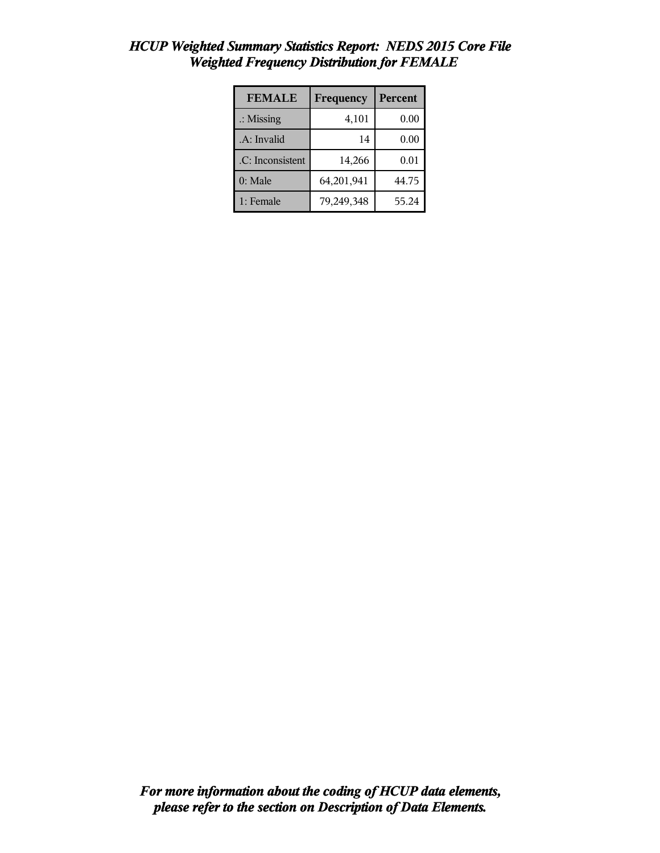| <b>FEMALE</b>        | Frequency  | Percent |
|----------------------|------------|---------|
| $\therefore$ Missing | 4,101      | 0.00    |
| .A: Invalid          | 14         | 0.00    |
| .C: Inconsistent     | 14,266     | 0.01    |
| $0:$ Male            | 64,201,941 | 44.75   |
| 1: Female            | 79,249,348 | 55.24   |

# *HCUP Weighted Summary Statistics Report: NEDS 2015 Core File Weighted Frequency Distribution for FEMALE*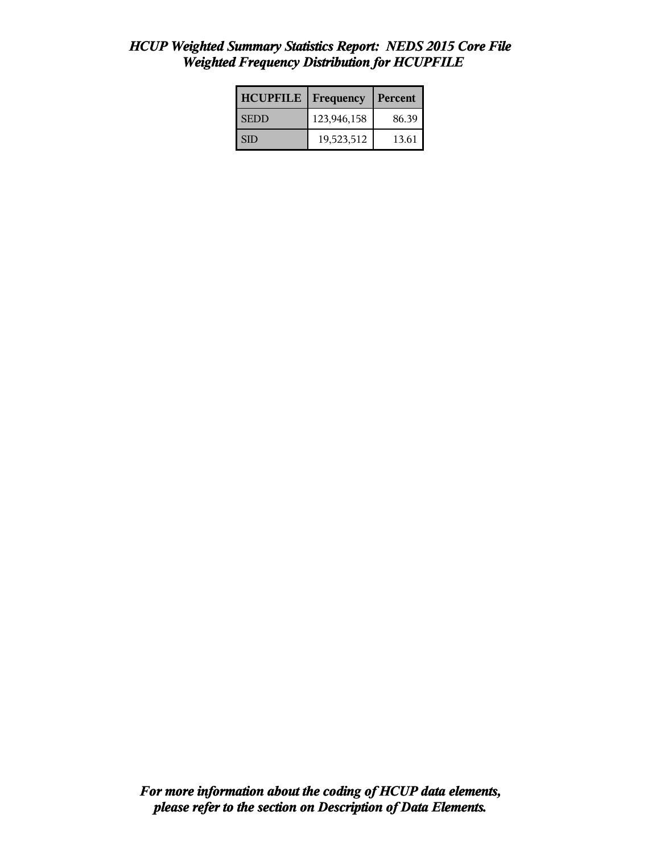# *HCUP Weighted Summary Statistics Report: NEDS 2015 Core File Weighted Frequency Distribution for HCUPFILE*

| <b>HCUPFILE</b> | Frequency   | Percent |
|-----------------|-------------|---------|
| <b>SEDD</b>     | 123,946,158 | 86.39   |
| SID             | 19,523,512  | 13.61   |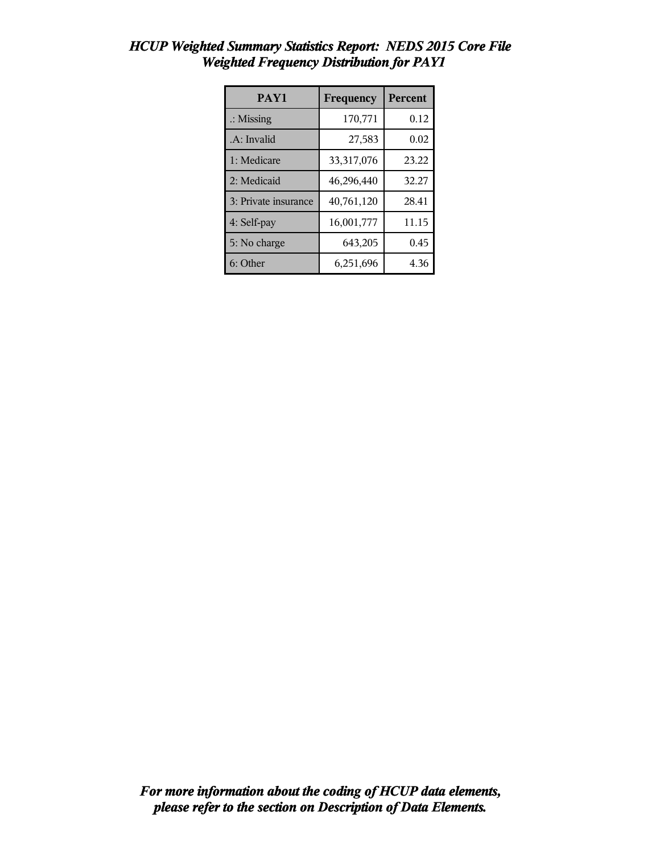| PAY1                 | Frequency  | Percent |
|----------------------|------------|---------|
| $\therefore$ Missing | 170,771    | 0.12    |
| .A: Invalid          | 27,583     | 0.02    |
| 1: Medicare          | 33,317,076 | 23.22   |
| 2: Medicaid          | 46,296,440 | 32.27   |
| 3: Private insurance | 40,761,120 | 28.41   |
| 4: Self-pay          | 16,001,777 | 11.15   |
| 5: No charge         | 643,205    | 0.45    |
| 6: Other             | 6,251,696  | 4.36    |

## *HCUP Weighted Summary Statistics Report: NEDS 2015 Core File Weighted Frequency Distribution for PAY1*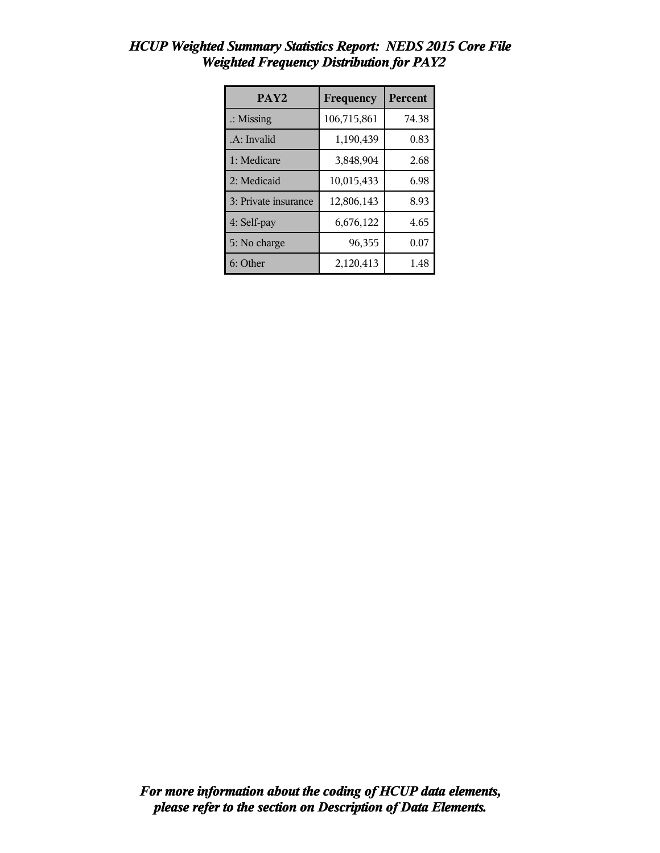| PAY <sub>2</sub>     | Frequency   | Percent |
|----------------------|-------------|---------|
| $\therefore$ Missing | 106,715,861 | 74.38   |
| .A: Invalid          | 1,190,439   | 0.83    |
| 1: Medicare          | 3,848,904   | 2.68    |
| 2: Medicaid          | 10,015,433  | 6.98    |
| 3: Private insurance | 12,806,143  | 8.93    |
| 4: Self-pay          | 6,676,122   | 4.65    |
| 5: No charge         | 96,355      | 0.07    |
| 6: Other             | 2,120,413   | 1.48    |

## *HCUP Weighted Summary Statistics Report: NEDS 2015 Core File Weighted Frequency Distribution for PAY2*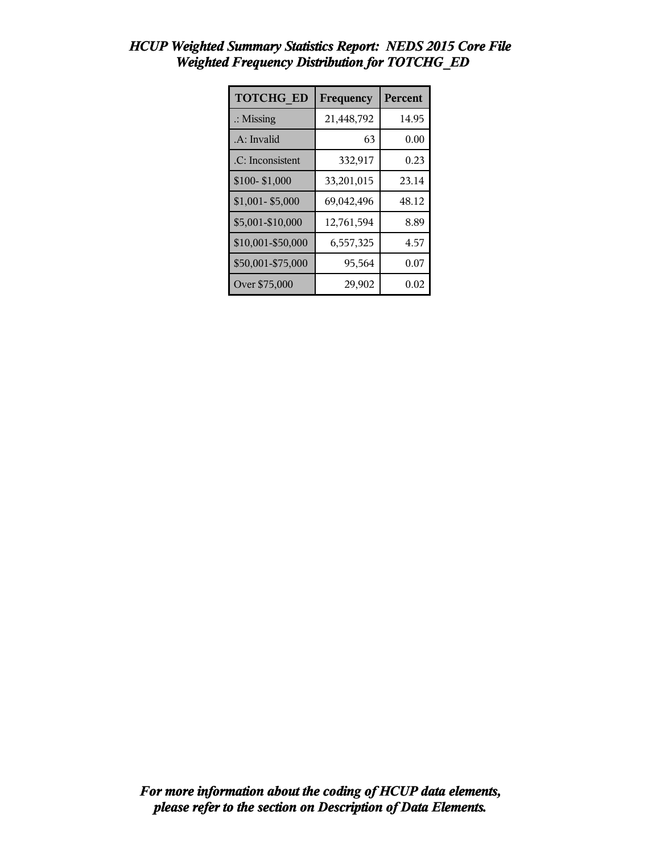| <b>TOTCHG ED</b>     | Frequency  | <b>Percent</b> |
|----------------------|------------|----------------|
| $\therefore$ Missing | 21,448,792 | 14.95          |
| .A: Invalid          | 63         | 0.00           |
| .C: Inconsistent     | 332,917    | 0.23           |
| \$100-\$1,000        | 33,201,015 | 23.14          |
| $$1,001 - $5,000$    | 69,042,496 | 48.12          |
| \$5,001-\$10,000     | 12,761,594 | 8.89           |
| \$10,001-\$50,000    | 6,557,325  | 4.57           |
| \$50,001-\$75,000    | 95,564     | 0.07           |
| Over \$75,000        | 29,902     | 0.02           |

# *HCUP Weighted Summary Statistics Report: NEDS 2015 Core File Weighted Frequency Distribution for TOTCHG\_ED*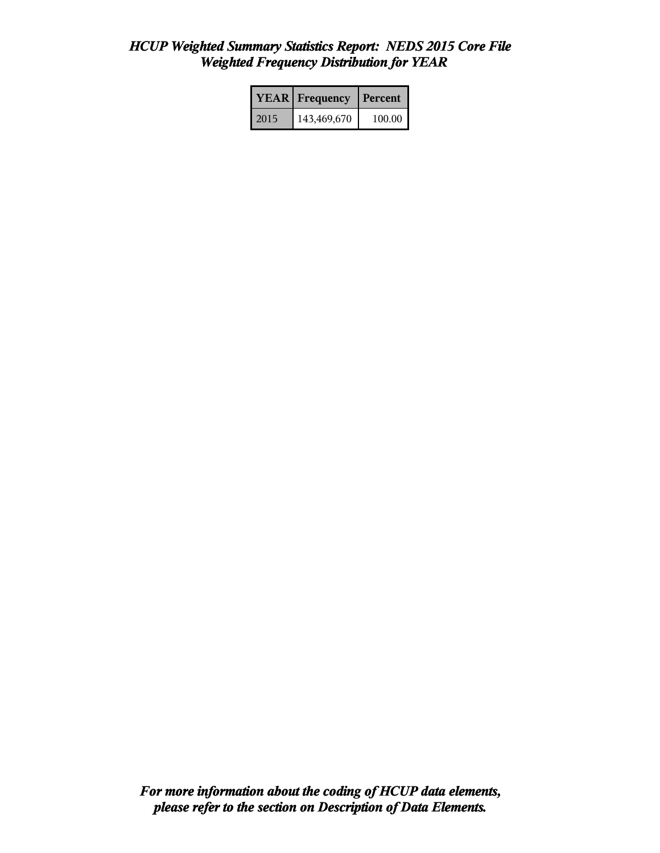#### *HCUP Weighted Summary Statistics Report: NEDS 2015 Core File Weighted Frequency Distribution for YEAR*

|      | <b>YEAR</b> Frequency | <b>Percent</b> |
|------|-----------------------|----------------|
| 2015 | 143,469,670           | 100.00         |